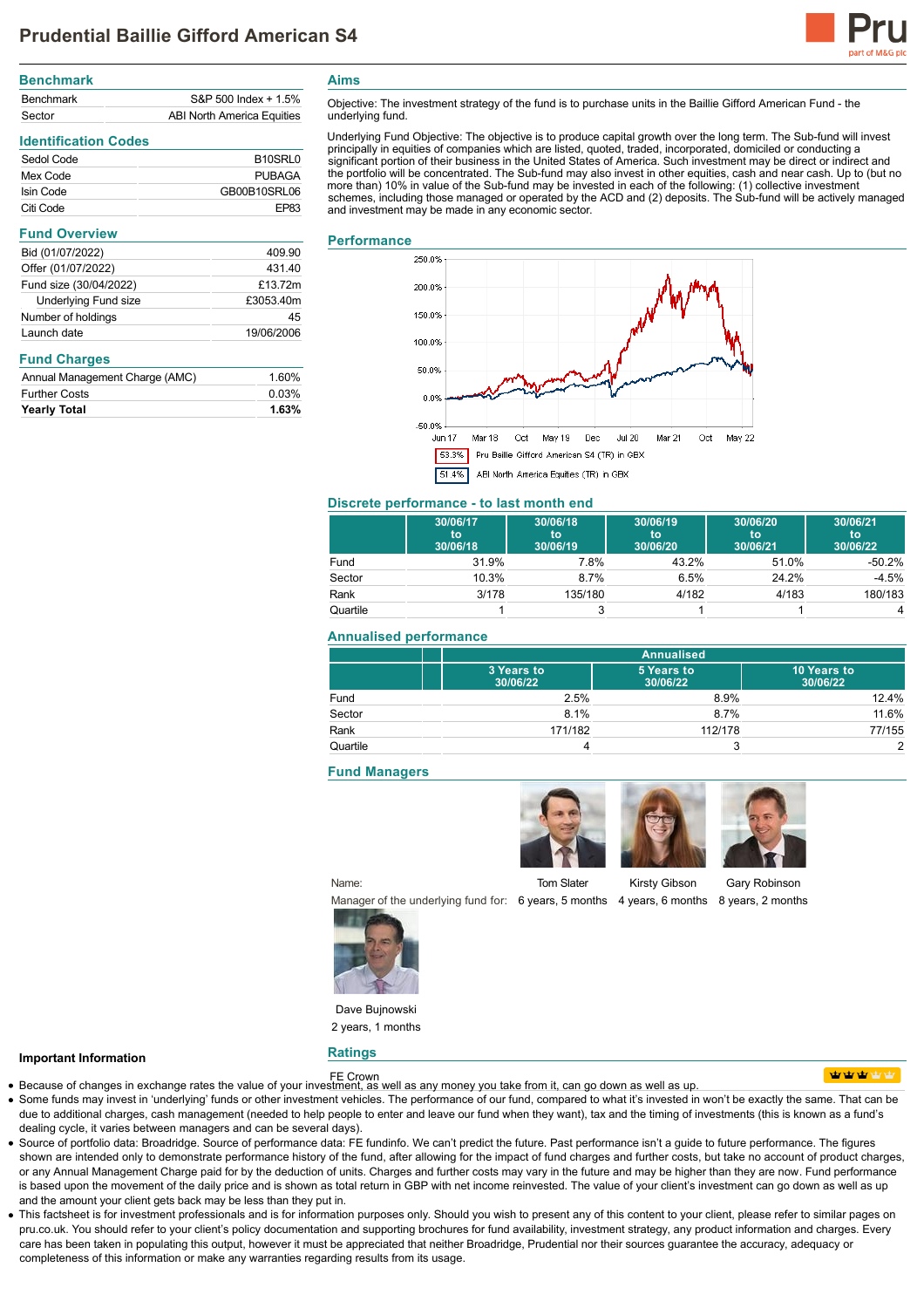

| <b>Benchmark</b> |                            |
|------------------|----------------------------|
| <b>Benchmark</b> | S&P 500 Index + 1.5%       |
| Sector           | ABI North America Equities |

# **Identification Codes**

| Sedol Code | B <sub>10</sub> SRL <sub>0</sub> |
|------------|----------------------------------|
| Mex Code   | <b>PUBAGA</b>                    |
| Isin Code  | GB00B10SRL06                     |
| Citi Code  | FP83                             |

## **Fund Overview** Bid (01/07/2022) 409.90 Offer (01/07/2022) 431.40 Fund size (30/04/2022) £13.72m Underlying Fund size £3053.40m Number of holdings and the state of the 45 Launch date 19/06/2006

#### **Fund Charges**

| Annual Management Charge (AMC) | 1.60% |
|--------------------------------|-------|
| <b>Further Costs</b>           | 0.03% |
| <b>Yearly Total</b>            | 1.63% |

**Aims**

Objective: The investment strategy of the fund is to purchase units in the Baillie Gifford American Fund - the underlying fund.

Underlying Fund Objective: The objective is to produce capital growth over the long term. The Sub-fund will invest<br>principally in equities of companies which are listed, quoted, traded, incorporated, domiciled or conductin significant portion of their business in the United States of America. Such investment may be direct or indirect and the portfolio will be concentrated. The Sub-fund may also invest in other equities, cash and near cash. Up to (but no more than) 10% in value of the Sub-fund may be invested in each of the following: (1) collective investment schemes, including those managed or operated by the ACD and (2) deposits. The Sub-fund will be actively managed and investment may be made in any economic sector.

#### **Performance**



# **Discrete performance - to last month end**

|          | 30/06/17<br>to<br>30/06/18 | 30/06/18<br>to<br>30/06/19 | 30/06/19<br>to<br>30/06/20 | 30/06/20<br>to<br>30/06/21 | 30/06/21<br>to<br>30/06/22 |
|----------|----------------------------|----------------------------|----------------------------|----------------------------|----------------------------|
| Fund     | 31.9%                      | 7.8%                       | 43.2%                      | 51.0%                      | $-50.2%$                   |
| Sector   | 10.3%                      | 8.7%                       | 6.5%                       | 24.2%                      | $-4.5%$                    |
| Rank     | 3/178                      | 135/180                    | 4/182                      | 4/183                      | 180/183                    |
| Quartile |                            |                            |                            |                            | 4                          |

## **Annualised performance**

|          | <b>Annualised</b>      |                        |                         |
|----------|------------------------|------------------------|-------------------------|
|          | 3 Years to<br>30/06/22 | 5 Years to<br>30/06/22 | 10 Years to<br>30/06/22 |
| Fund     | 2.5%                   | 8.9%                   | 12.4%                   |
| Sector   | 8.1%                   | 8.7%                   | 11.6%                   |
| Rank     | 171/182                | 112/178                | 77/155                  |
| Quartile |                        | 3                      | っ                       |

# **Fund Managers**

Tom Slater

Manager of the underlying fund for: 6 years, 5 months 4 years, 6 months 8 years, 2 months



**Ratings**

Name:

Dave Bujnowski 2 years, 1 months

# **Important Information**

- FE Crown Because of changes in exchange rates the value of your investment, as well as any money you take from it, can go down as well as up.
- 

**utratrat** 

- Some funds may invest in 'underlying' funds or other investment vehicles. The performance of our fund, compared to what it's invested in won't be exactly the same. That can be due to additional charges, cash management (needed to help people to enter and leave our fund when they want), tax and the timing of investments (this is known as a fund's dealing cycle, it varies between managers and can be several days).
- Source of portfolio data: Broadridge. Source of performance data: FE fundinfo. We can't predict the future. Past performance isn't a guide to future performance. The figures shown are intended only to demonstrate performance history of the fund, after allowing for the impact of fund charges and further costs, but take no account of product charges, or any Annual Management Charge paid for by the deduction of units. Charges and further costs may vary in the future and may be higher than they are now. Fund performance is based upon the movement of the daily price and is shown as total return in GBP with net income reinvested. The value of your client's investment can go down as well as up and the amount your client gets back may be less than they put in.
- This factsheet is for investment professionals and is for information purposes only. Should you wish to present any of this content to your client, please refer to similar pages on pru.co.uk. You should refer to your client's policy documentation and supporting brochures for fund availability, investment strategy, any product information and charges. Every care has been taken in populating this output, however it must be appreciated that neither Broadridge. Prudential nor their sources guarantee the accuracy, adequacy or completeness of this information or make any warranties regarding results from its usage.